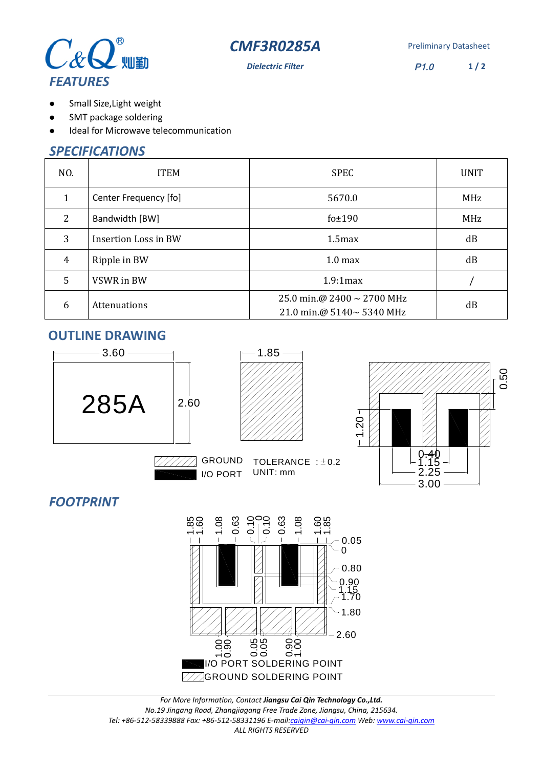



**Dielectric Filter** P1.0 **1 / 2**

- Small Size,Light weight  $\bullet$
- SMT package soldering  $\bullet$
- Ideal for Microwave telecommunication  $\bullet$

# *SPECIFICATIONS*

| NO.            | <b>ITEM</b>           | <b>SPEC</b>                                                  | <b>UNIT</b> |
|----------------|-----------------------|--------------------------------------------------------------|-------------|
| 1              | Center Frequency [fo] | 5670.0                                                       | <b>MHz</b>  |
| $\overline{2}$ | Bandwidth [BW]        | fo $±190$                                                    | MHz         |
| 3              | Insertion Loss in BW  | 1.5 <sub>max</sub>                                           | dB          |
| $\overline{4}$ | Ripple in BW          | 1.0 <sub>max</sub>                                           | dB          |
| 5              | VSWR in BW            | 1.9:1max                                                     |             |
| 6              | Attenuations          | 25.0 min.@ 2400 $\sim$ 2700 MHz<br>21.0 min.@ 5140~ 5340 MHz | dB          |

#### **OUTLINE DRAWING**



## *FOOTPRINT*